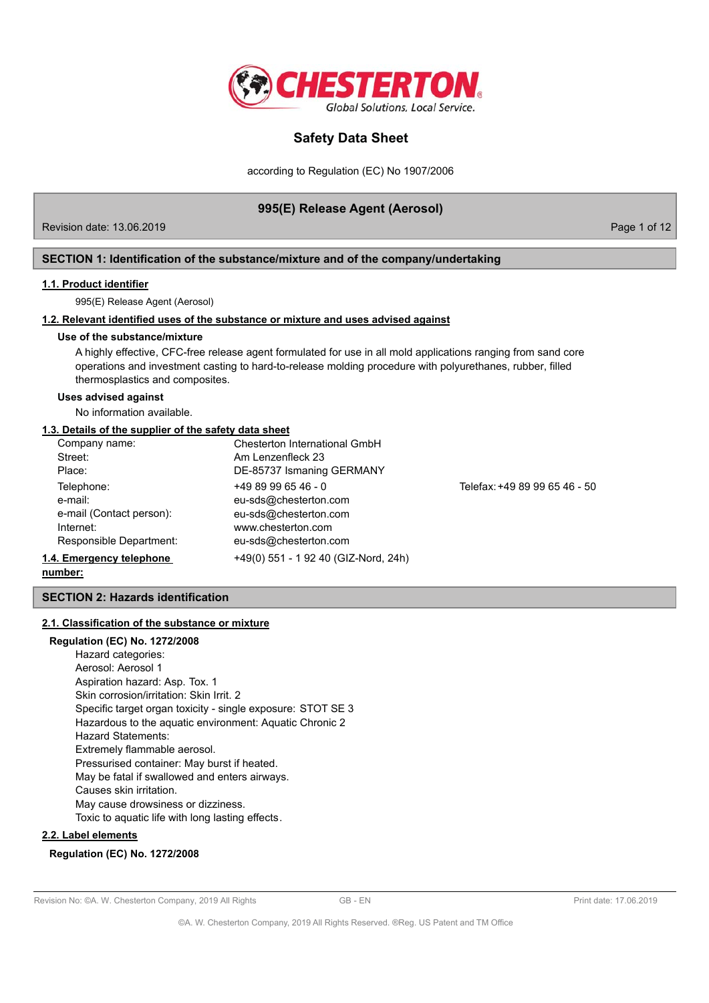

according to Regulation (EC) No 1907/2006

## 995(E) Release Agent (Aerosol)

Revision date: 13.06.2019

Page 1 of 12

## SECTION 1: Identification of the substance/mixture and of the company/undertaking

#### 1.1. Product identifier

995(E) Release Agent (Aerosol)

### 1.2. Relevant identified uses of the substance or mixture and uses advised against

#### Use of the substance/mixture

A highly effective, CFC-free release agent formulated for use in all mold applications ranging from sand core operations and investment casting to hard-to-release molding procedure with polyurethanes, rubber, filled thermosplastics and composites.

### **Uses advised against**

No information available.

## 1.3. Details of the supplier of the safety data sheet

| Company name:            | Chesterton International GmbH        |                               |
|--------------------------|--------------------------------------|-------------------------------|
| Street:                  | Am Lenzenfleck 23                    |                               |
| Place:                   | DE-85737 Ismaning GERMANY            |                               |
| Telephone:               | $+498996546 - 0$                     | Telefax: +49 89 99 65 46 - 50 |
| e-mail:                  | eu-sds@chesterton.com                |                               |
| e-mail (Contact person): | eu-sds@chesterton.com                |                               |
| Internet:                | www.chesterton.com                   |                               |
| Responsible Department:  | eu-sds@chesterton.com                |                               |
| 1.4. Emergency telephone | +49(0) 551 - 1 92 40 (GIZ-Nord, 24h) |                               |
|                          |                                      |                               |

### number:

## **SECTION 2: Hazards identification**

#### 2.1. Classification of the substance or mixture

### **Regulation (EC) No. 1272/2008**

Hazard categories: Aerosol: Aerosol 1 Aspiration hazard: Asp. Tox. 1 Skin corrosion/irritation: Skin Irrit. 2 Specific target organ toxicity - single exposure: STOT SE 3 Hazardous to the aquatic environment: Aquatic Chronic 2 **Hazard Statements:** Extremely flammable aerosol. Pressurised container: May burst if heated. May be fatal if swallowed and enters airways. Causes skin irritation. May cause drowsiness or dizziness. Toxic to aquatic life with long lasting effects.

#### 2.2. Label elements

## **Regulation (EC) No. 1272/2008**

#### Revision No: @A. W. Chesterton Company, 2019 All Rights

 $GB - FN$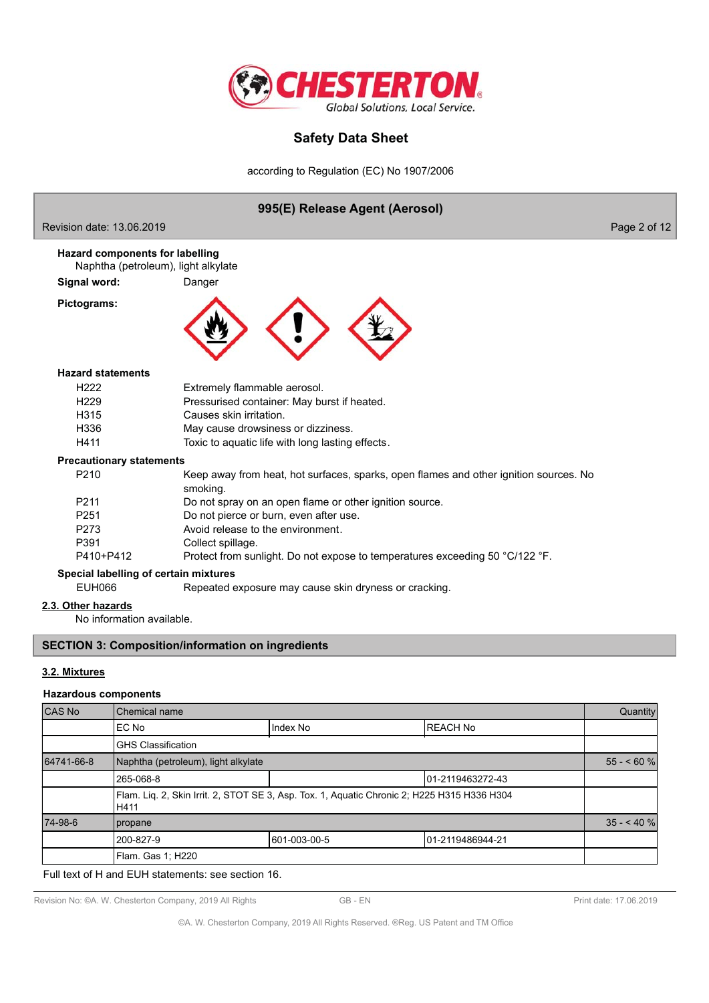

according to Regulation (EC) No 1907/2006

#### 995(E) Release Agent (Aerosol) Revision date: 13.06.2019 Page 2 of 12 **Hazard components for labelling** Naphtha (petroleum), light alkylate Signal word: Danger Pictograms: **Hazard statements** H<sub>222</sub> Extremely flammable aerosol. H<sub>229</sub> Pressurised container: May burst if heated. H315 Causes skin irritation. H336 May cause drowsiness or dizziness. H411 Toxic to aquatic life with long lasting effects. **Precautionary statements** P210 Keep away from heat, hot surfaces, sparks, open flames and other ignition sources. No smoking. P211 Do not spray on an open flame or other ignition source. P<sub>251</sub> Do not pierce or burn, even after use. P273 Avoid release to the environment. P391 Collect spillage. P410+P412 Protect from sunlight. Do not expose to temperatures exceeding 50 °C/122 °F. Special labelling of certain mixtures **EUH066** Repeated exposure may cause skin dryness or cracking. 2.3. Other hazards No information available. **SECTION 3: Composition/information on ingredients** 3.2. Mixtures

#### **Hazardous components**

| CAS No     | Chemical name                                                                                       |              | Quantity         |            |
|------------|-----------------------------------------------------------------------------------------------------|--------------|------------------|------------|
|            | EC No                                                                                               | Index No     | <b>REACH No</b>  |            |
|            | <b>GHS Classification</b>                                                                           |              |                  |            |
| 64741-66-8 | Naphtha (petroleum), light alkylate                                                                 |              |                  | $55 - 60%$ |
|            | 265-068-8<br>101-2119463272-43                                                                      |              |                  |            |
|            | Flam. Liq. 2, Skin Irrit. 2, STOT SE 3, Asp. Tox. 1, Aquatic Chronic 2; H225 H315 H336 H304<br>H411 |              |                  |            |
| 74-98-6    | propane                                                                                             |              |                  | $35 - 40%$ |
|            | 200-827-9                                                                                           | 601-003-00-5 | 01-2119486944-21 |            |
|            | Flam. Gas 1; H220                                                                                   |              |                  |            |

Full text of H and EUH statements: see section 16.

Revision No: ©A. W. Chesterton Company, 2019 All Rights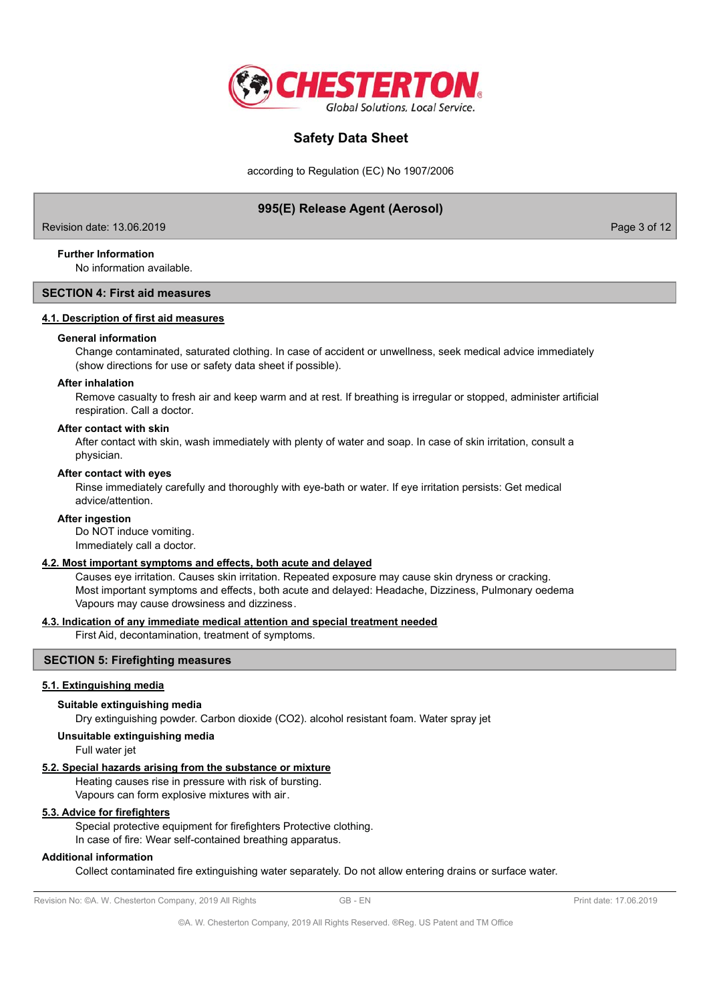

according to Regulation (EC) No 1907/2006

## 995(E) Release Agent (Aerosol)

Revision date: 13.06.2019

Page 3 of 12

## **Further Information**

No information available.

## **SECTION 4: First aid measures**

## 4.1. Description of first aid measures

#### **General information**

Change contaminated, saturated clothing. In case of accident or unwellness, seek medical advice immediately (show directions for use or safety data sheet if possible).

#### **After inhalation**

Remove casualty to fresh air and keep warm and at rest. If breathing is irregular or stopped, administer artificial respiration. Call a doctor.

### After contact with skin

After contact with skin, wash immediately with plenty of water and soap. In case of skin irritation, consult a physician.

#### After contact with eyes

Rinse immediately carefully and thoroughly with eye-bath or water. If eye irritation persists: Get medical advice/attention.

#### **After ingestion**

Do NOT induce vomiting. Immediately call a doctor.

## 4.2. Most important symptoms and effects, both acute and delayed

Causes eye irritation. Causes skin irritation. Repeated exposure may cause skin dryness or cracking. Most important symptoms and effects, both acute and delayed: Headache, Dizziness, Pulmonary oedema Vapours may cause drowsiness and dizziness.

## 4.3. Indication of any immediate medical attention and special treatment needed

First Aid, decontamination, treatment of symptoms.

## **SECTION 5: Firefighting measures**

#### 5.1. Extinguishing media

#### Suitable extinguishing media

Dry extinguishing powder. Carbon dioxide (CO2). alcohol resistant foam. Water spray jet

## Unsuitable extinguishing media

Full water jet

### 5.2. Special hazards arising from the substance or mixture

Heating causes rise in pressure with risk of bursting. Vapours can form explosive mixtures with air.

## 5.3. Advice for firefighters

Special protective equipment for firefighters Protective clothing.

In case of fire: Wear self-contained breathing apparatus.

## **Additional information**

Collect contaminated fire extinguishing water separately. Do not allow entering drains or surface water.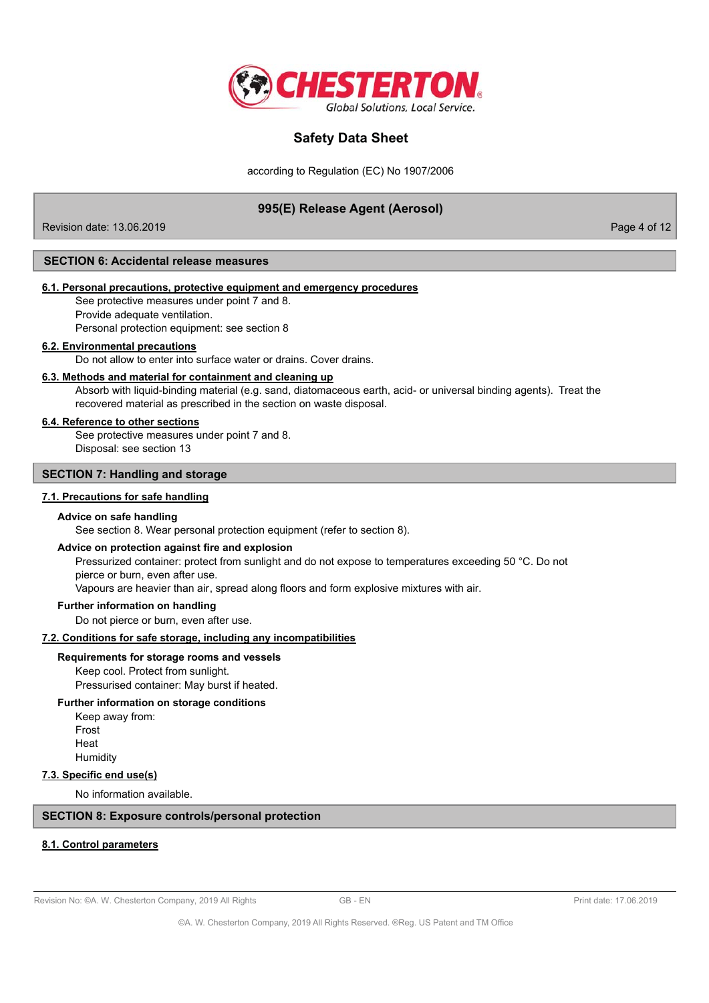

according to Regulation (EC) No 1907/2006

## 995(E) Release Agent (Aerosol)

Revision date: 13.06.2019

Page 4 of 12

### **SECTION 6: Accidental release measures**

### 6.1. Personal precautions, protective equipment and emergency procedures

See protective measures under point 7 and 8. Provide adequate ventilation.

Personal protection equipment: see section 8

### 6.2. Environmental precautions

Do not allow to enter into surface water or drains. Cover drains.

#### 6.3. Methods and material for containment and cleaning up

Absorb with liquid-binding material (e.g. sand, diatomaceous earth, acid- or universal binding agents). Treat the recovered material as prescribed in the section on waste disposal.

### 6.4. Reference to other sections

See protective measures under point 7 and 8. Disposal: see section 13

## **SECTION 7: Handling and storage**

### 7.1. Precautions for safe handling

#### Advice on safe handling

See section 8. Wear personal protection equipment (refer to section 8).

#### Advice on protection against fire and explosion

Pressurized container: protect from sunlight and do not expose to temperatures exceeding 50 °C. Do not pierce or burn, even after use.

Vapours are heavier than air, spread along floors and form explosive mixtures with air.

## Further information on handling

Do not pierce or burn, even after use.

### 7.2. Conditions for safe storage, including any incompatibilities

#### Requirements for storage rooms and vessels

Keep cool. Protect from sunlight. Pressurised container: May burst if heated.

### Further information on storage conditions

Keep away from: Frost Heat Humidity

#### 7.3. Specific end use(s)

No information available.

## **SECTION 8: Exposure controls/personal protection**

#### 8.1. Control parameters

Revision No: @A. W. Chesterton Company, 2019 All Rights

 $GB - FN$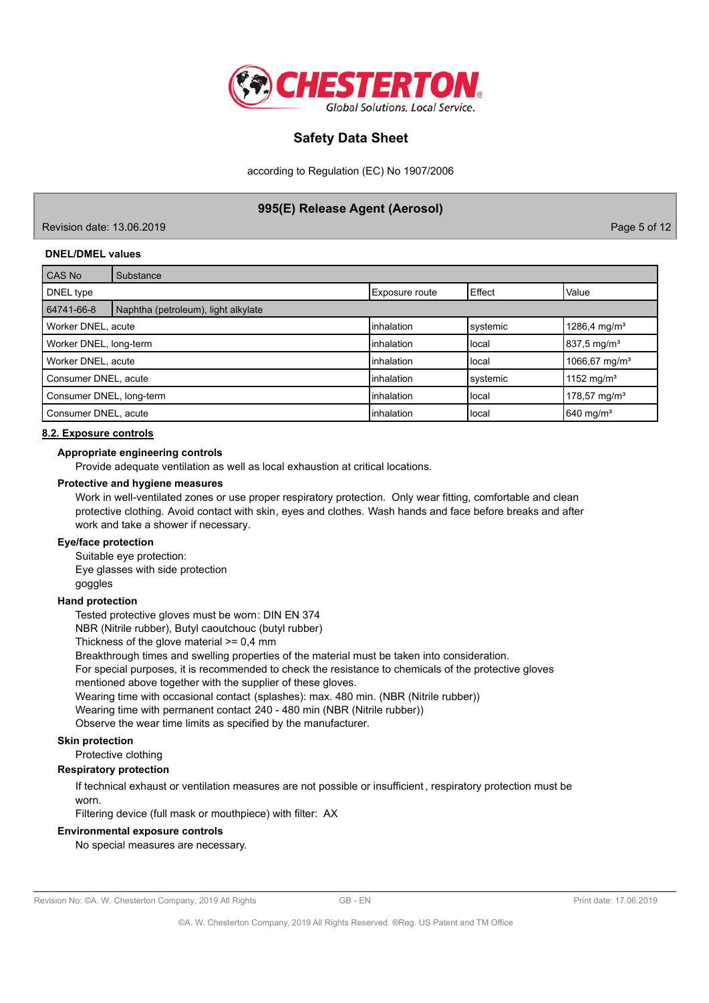

according to Regulation (EC) No 1907/2006

## 995(E) Release Agent (Aerosol)

Revision date: 13.06.2019

Page 5 of 12

### **DNEL/DMEL values**

| CAS No                   | Substance                           |                       |          |                           |
|--------------------------|-------------------------------------|-----------------------|----------|---------------------------|
| DNEL type                |                                     | <b>Exposure route</b> | Effect   | Value                     |
| 64741-66-8               | Naphtha (petroleum), light alkylate |                       |          |                           |
| Worker DNEL, acute       |                                     | <b>linhalation</b>    | systemic | 1286,4 mg/m <sup>3</sup>  |
| Worker DNEL, long-term   |                                     | <b>l</b> inhalation   | Ilocal   | $837,5 \,\mathrm{mg/m^3}$ |
| Worker DNEL, acute       |                                     | linhalation           | llocal   | 1066,67 mg/m <sup>3</sup> |
| Consumer DNEL, acute     |                                     | Iinhalation           | systemic | 1152 mg/m <sup>3</sup>    |
| Consumer DNEL, long-term |                                     | <b>inhalation</b>     | local    | $178,57 \text{ mg/m}^3$   |
| Consumer DNEL, acute     |                                     | <b>l</b> inhalation   | Ilocal   | 640 mg/m <sup>3</sup>     |

#### 8.2. Exposure controls

#### Appropriate engineering controls

Provide adequate ventilation as well as local exhaustion at critical locations.

#### Protective and hygiene measures

Work in well-ventilated zones or use proper respiratory protection. Only wear fitting, comfortable and clean protective clothing. Avoid contact with skin, eyes and clothes. Wash hands and face before breaks and after work and take a shower if necessary.

### **Eye/face protection**

Suitable eye protection: Eye glasses with side protection goggles

## **Hand protection**

Tested protective gloves must be worn: DIN EN 374

NBR (Nitrile rubber), Butyl caoutchouc (butyl rubber)

Thickness of the glove material  $>= 0.4$  mm

Breakthrough times and swelling properties of the material must be taken into consideration.

For special purposes, it is recommended to check the resistance to chemicals of the protective gloves

mentioned above together with the supplier of these gloves.

Wearing time with occasional contact (splashes): max. 480 min. (NBR (Nitrile rubber))

Wearing time with permanent contact 240 - 480 min (NBR (Nitrile rubber))

Observe the wear time limits as specified by the manufacturer.

### **Skin protection**

Protective clothing

## **Respiratory protection**

If technical exhaust or ventilation measures are not possible or insufficient, respiratory protection must be worn

Filtering device (full mask or mouthpiece) with filter: AX

### **Environmental exposure controls**

No special measures are necessary.

 $GB - FN$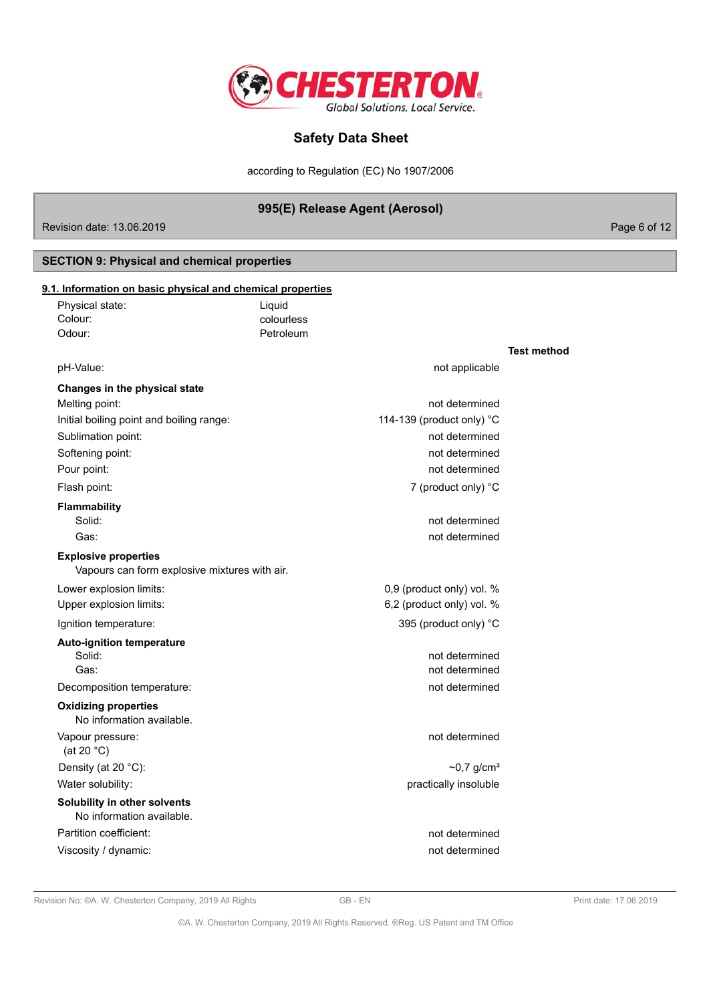

according to Regulation (EC) No 1907/2006

## 995(E) Release Agent (Aerosol)

Revision date: 13.06.2019

Page 6 of 12

## **SECTION 9: Physical and chemical properties**

| Physical state:                                           | Liquid     |                              |                    |
|-----------------------------------------------------------|------------|------------------------------|--------------------|
| Colour:                                                   | colourless |                              |                    |
| Odour:                                                    | Petroleum  |                              |                    |
|                                                           |            |                              | <b>Test method</b> |
| pH-Value:                                                 |            | not applicable               |                    |
| Changes in the physical state                             |            |                              |                    |
| Melting point:                                            |            | not determined               |                    |
| Initial boiling point and boiling range:                  |            | 114-139 (product only) °C    |                    |
| Sublimation point:                                        |            | not determined               |                    |
| Softening point:                                          |            | not determined               |                    |
| Pour point:                                               |            | not determined               |                    |
| Flash point:                                              |            | 7 (product only) °C          |                    |
| <b>Flammability</b>                                       |            |                              |                    |
| Solid:                                                    |            | not determined               |                    |
| Gas:                                                      |            | not determined               |                    |
| <b>Explosive properties</b>                               |            |                              |                    |
| Vapours can form explosive mixtures with air.             |            |                              |                    |
| Lower explosion limits:                                   |            | 0,9 (product only) vol. %    |                    |
| Upper explosion limits:                                   |            | 6,2 (product only) vol. %    |                    |
| Ignition temperature:                                     |            | 395 (product only) °C        |                    |
| <b>Auto-ignition temperature</b>                          |            |                              |                    |
| Solid:                                                    |            | not determined               |                    |
| Gas:                                                      |            | not determined               |                    |
| Decomposition temperature:                                |            | not determined               |                    |
| <b>Oxidizing properties</b><br>No information available.  |            |                              |                    |
| Vapour pressure:<br>(at 20 $°C$ )                         |            | not determined               |                    |
| Density (at 20 °C):                                       |            | $\sim$ 0,7 g/cm <sup>3</sup> |                    |
| Water solubility:                                         |            | practically insoluble        |                    |
| Solubility in other solvents<br>No information available. |            |                              |                    |
| Partition coefficient:                                    |            | not determined               |                    |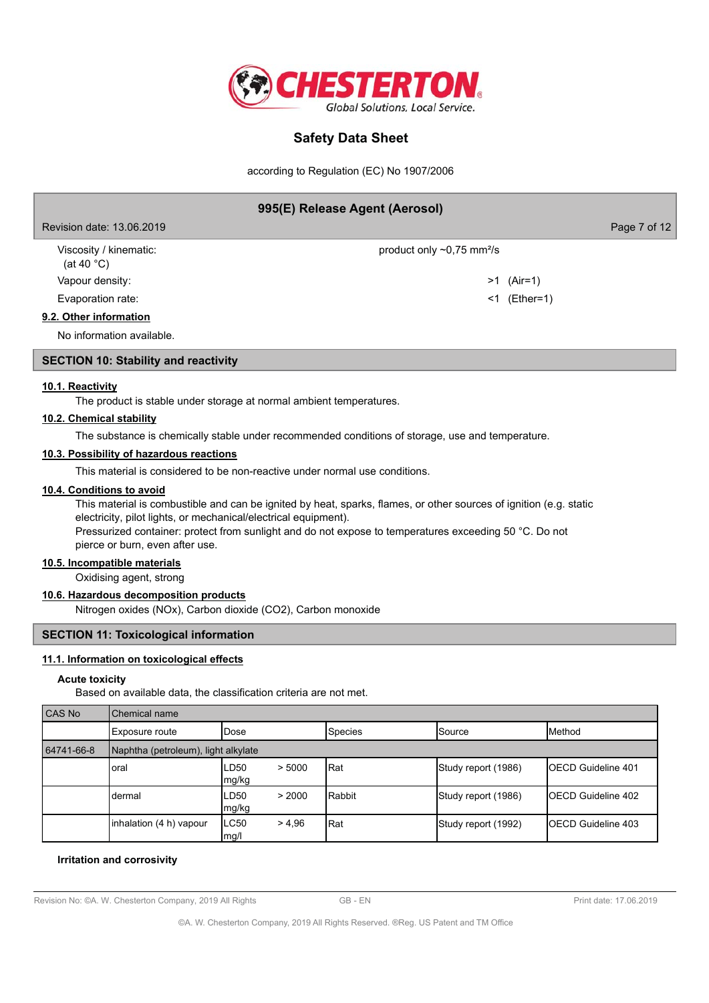

according to Regulation (EC) No 1907/2006

| 995(E) Release Agent (Aerosol)                 |                                             |              |
|------------------------------------------------|---------------------------------------------|--------------|
| Revision date: 13.06.2019                      |                                             | Page 7 of 12 |
| Viscosity / kinematic:<br>(at 40 $^{\circ}$ C) | product only $\sim 0.75$ mm <sup>2</sup> /s |              |
| Vapour density:                                |                                             | $>1$ (Air=1) |
| Evaporation rate:                              | <1                                          | (Ether=1)    |
| 9.2. Other information                         |                                             |              |
| No information available.                      |                                             |              |
| <b>SECTION 10: Stability and reactivity</b>    |                                             |              |

# 10.1. Reactivity

The product is stable under storage at normal ambient temperatures.

#### 10.2. Chemical stability

The substance is chemically stable under recommended conditions of storage, use and temperature.

### 10.3. Possibility of hazardous reactions

This material is considered to be non-reactive under normal use conditions.

#### 10.4. Conditions to avoid

This material is combustible and can be ignited by heat, sparks, flames, or other sources of ignition (e.g. static electricity, pilot lights, or mechanical/electrical equipment). Pressurized container: protect from sunlight and do not expose to temperatures exceeding 50 °C. Do not pierce or burn, even after use.

#### 10.5. Incompatible materials

Oxidising agent, strong

## 10.6. Hazardous decomposition products

Nitrogen oxides (NOx), Carbon dioxide (CO2), Carbon monoxide

### **SECTION 11: Toxicological information**

## 11.1. Information on toxicological effects

#### **Acute toxicity**

Based on available data, the classification criteria are not met.

| CAS No     | Chemical name                       |                         |         |                     |                            |
|------------|-------------------------------------|-------------------------|---------|---------------------|----------------------------|
|            | Exposure route                      | lDose                   | Species | <b>ISource</b>      | <b>I</b> Method            |
| 64741-66-8 | Naphtha (petroleum), light alkylate |                         |         |                     |                            |
|            | oral                                | LD50<br>> 5000<br>mg/kg | Rat     | Study report (1986) | <b>IOECD Guideline 401</b> |
|            | dermal                              | LD50<br>> 2000<br>mg/kg | Rabbit  | Study report (1986) | <b>IOECD Guideline 402</b> |
|            | inhalation (4 h) vapour             | LC50<br>> 4.96<br>mg/l  | Rat     | Study report (1992) | <b>IOECD Guideline 403</b> |

#### Irritation and corrosivity

Revision No: @A. W. Chesterton Company, 2019 All Rights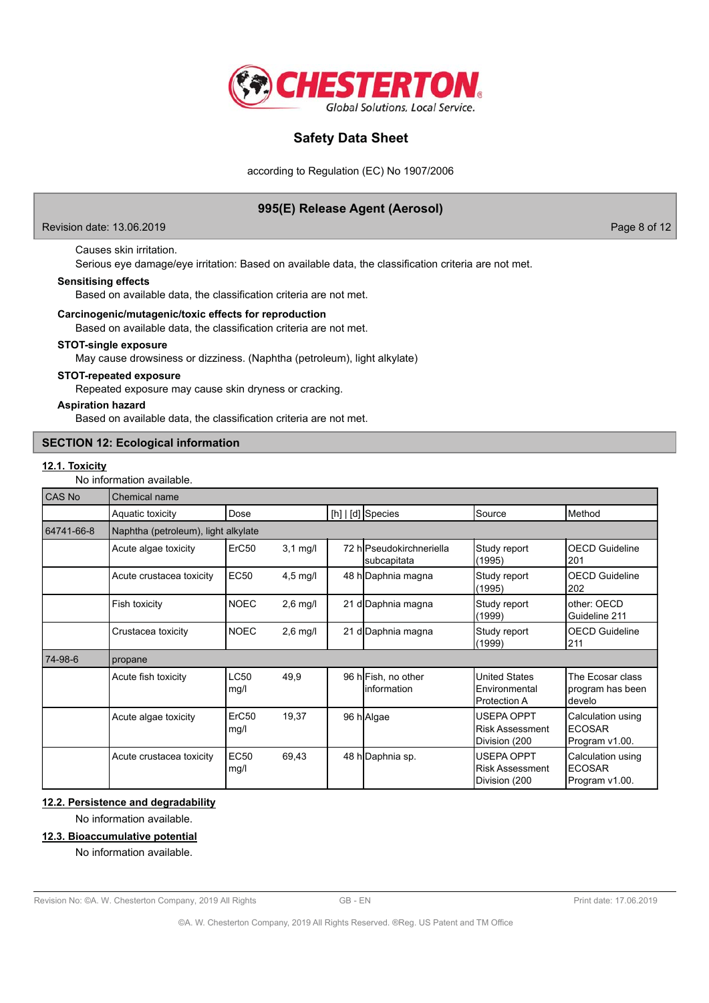

according to Regulation (EC) No 1907/2006

## 995(E) Release Agent (Aerosol)

#### Revision date: 13.06.2019

Page 8 of 12

## Causes skin irritation.

Serious eye damage/eye irritation: Based on available data, the classification criteria are not met.

## **Sensitising effects**

Based on available data, the classification criteria are not met.

#### Carcinogenic/mutagenic/toxic effects for reproduction

Based on available data, the classification criteria are not met.

## STOT-single exposure

May cause drowsiness or dizziness. (Naphtha (petroleum), light alkylate)

#### **STOT-repeated exposure**

Repeated exposure may cause skin dryness or cracking.

#### **Aspiration hazard**

Based on available data, the classification criteria are not met.

### **SECTION 12: Ecological information**

## 12.1. Toxicity

No information available.

| CAS No     | Chemical name                       |                     |            |                                         |                                                              |                                                      |
|------------|-------------------------------------|---------------------|------------|-----------------------------------------|--------------------------------------------------------------|------------------------------------------------------|
|            | Aquatic toxicity                    | Dose                |            | [h]   [d] Species                       | Source                                                       | Method                                               |
| 64741-66-8 | Naphtha (petroleum), light alkylate |                     |            |                                         |                                                              |                                                      |
|            | Acute algae toxicity                | ErC50               | $3,1$ mg/l | 72 hlPseudokirchneriella<br>subcapitata | Study report<br>(1995)                                       | <b>OECD Guideline</b><br>201                         |
|            | Acute crustacea toxicity            | EC50                | $4,5$ mg/l | 48 h Daphnia magna                      | Study report<br>(1995)                                       | <b>OECD Guideline</b><br>202                         |
|            | Fish toxicity                       | <b>NOEC</b>         | $2,6$ mg/l | 21 d Daphnia magna                      | Study report<br>(1999)                                       | other: OECD<br>Guideline 211                         |
|            | Crustacea toxicity                  | <b>NOEC</b>         | $2,6$ mg/l | 21 d Daphnia magna                      | Study report<br>(1999)                                       | <b>OECD Guideline</b><br>211                         |
| 74-98-6    | propane                             |                     |            |                                         |                                                              |                                                      |
|            | Acute fish toxicity                 | <b>LC50</b><br>mg/l | 49,9       | 96 hFish, no other<br>linformation      | <b>United States</b><br>Environmental<br><b>Protection A</b> | The Ecosar class<br>program has been<br>develo       |
|            | Acute algae toxicity                | ErC50<br>mg/l       | 19,37      | 96 h Algae                              | <b>USEPA OPPT</b><br><b>Risk Assessment</b><br>Division (200 | Calculation using<br><b>ECOSAR</b><br>Program v1.00. |
|            | Acute crustacea toxicity            | <b>EC50</b><br>mg/l | 69,43      | 48 h Daphnia sp.                        | <b>USEPA OPPT</b><br><b>Risk Assessment</b><br>Division (200 | Calculation using<br><b>ECOSAR</b><br>Program v1.00. |

## 12.2. Persistence and degradability

No information available.

### 12.3. Bioaccumulative potential

No information available.

Revision No: CA. W. Chesterton Company, 2019 All Rights

GB-EN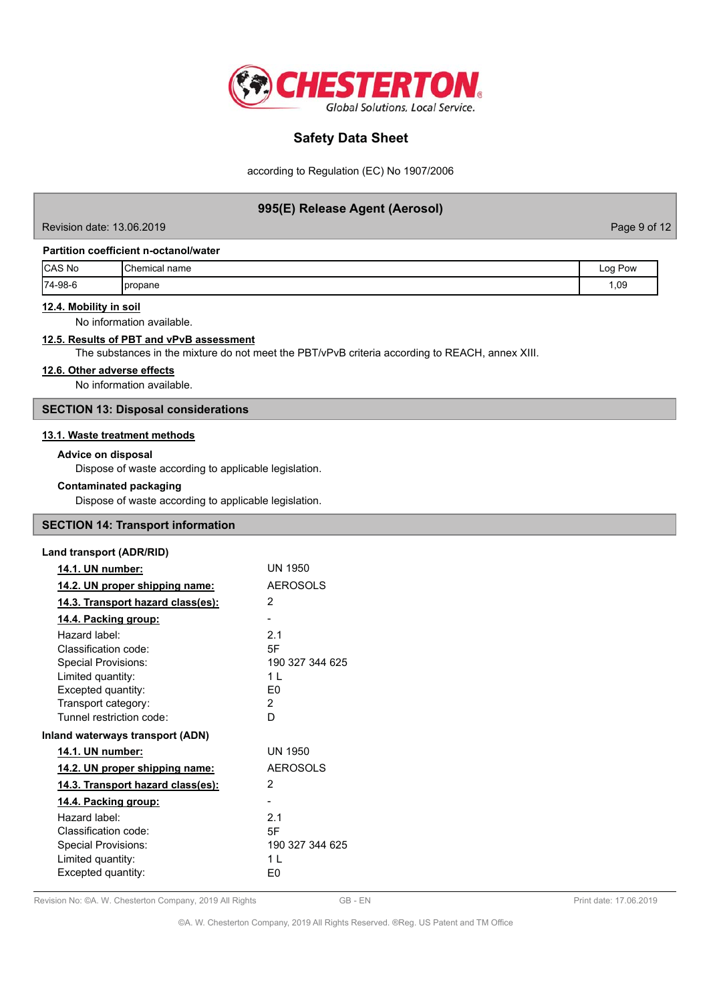

according to Regulation (EC) No 1907/2006

## 995(E) Release Agent (Aerosol)

Revision date: 13.06.2019

Page 9 of 12

### Partition coefficient n-octanol/water

| CAS No  | <sup>1</sup> Chemical <sub>Lie</sub><br>name | Pow<br>Log |
|---------|----------------------------------------------|------------|
| 74-98-6 | <b>I</b> propane                             | 1,09       |

### 12.4. Mobility in soil

No information available.

## 12.5. Results of PBT and vPvB assessment

The substances in the mixture do not meet the PBT/vPvB criteria according to REACH, annex XIII.

## 12.6. Other adverse effects

No information available.

## **SECTION 13: Disposal considerations**

### 13.1. Waste treatment methods

#### **Advice on disposal**

Dispose of waste according to applicable legislation.

#### **Contaminated packaging**

Dispose of waste according to applicable legislation.

## **SECTION 14: Transport information**

### **Land transport (ADR/RID)**

| 14.1. UN number:                         | UN 1950         |
|------------------------------------------|-----------------|
| 14.2. UN proper shipping name:           | <b>AEROSOLS</b> |
| <u>14.3. Transport hazard class(es):</u> | 2               |
| <u>14.4. Packing group:</u>              |                 |
| Hazard label:                            | 2.1             |
| Classification code:                     | 5F              |
| Special Provisions:                      | 190 327 344 625 |
| Limited quantity:                        | 11              |
| Excepted quantity:                       | F0              |
| Transport category:                      | 2               |
| Tunnel restriction code:                 | D               |
| Inland waterways transport (ADN)         |                 |
| 14.1. UN number:                         | UN 1950         |
| 14.2. UN proper shipping name:           | <b>AEROSOLS</b> |
| 14.3. Transport hazard class(es):        | 2               |
| 14.4. Packing group:                     |                 |
| Hazard label:                            | 21              |
| Classification code:                     | 5F              |
| Special Provisions:                      | 190 327 344 625 |
| Limited quantity:                        | 11              |
| Excepted quantity:                       | E0              |

#### Revision No: ©A. W. Chesterton Company, 2019 All Rights

GB-EN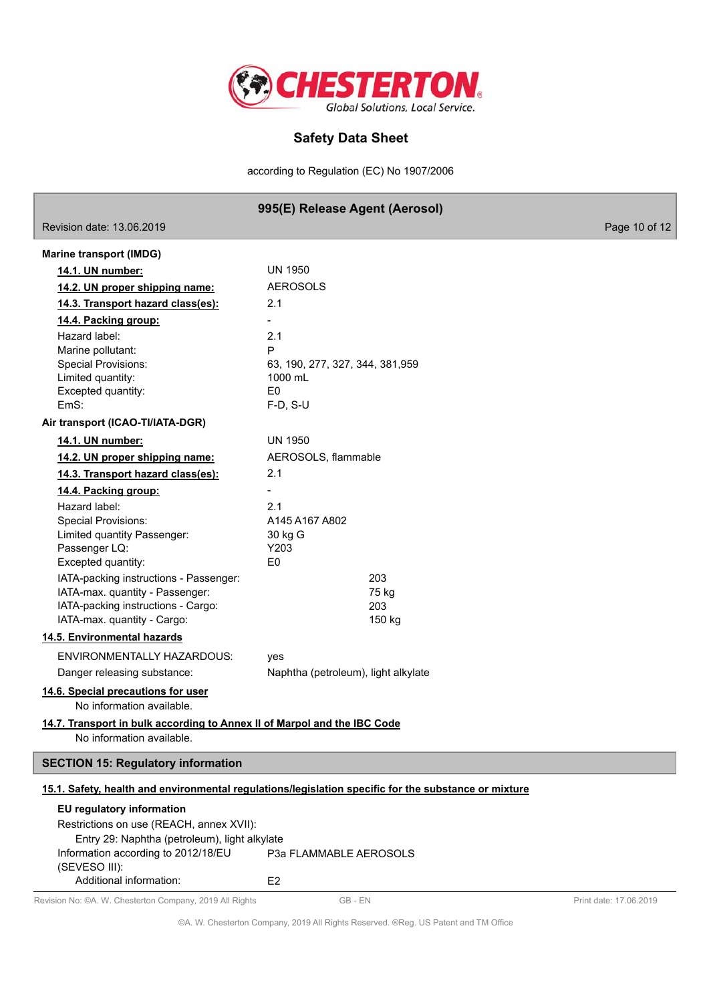

according to Regulation (EC) No 1907/2006

## 995(E) Release Agent (Aerosol)

age 10 of 12

| $1150131011$ ualg. $13.0022013$                                                                       |                                                                                                      |
|-------------------------------------------------------------------------------------------------------|------------------------------------------------------------------------------------------------------|
| <b>Marine transport (IMDG)</b>                                                                        |                                                                                                      |
| 14.1. UN number:                                                                                      | <b>UN 1950</b>                                                                                       |
| 14.2. UN proper shipping name:                                                                        | <b>AEROSOLS</b>                                                                                      |
| 14.3. Transport hazard class(es):                                                                     | 2.1                                                                                                  |
| 14.4. Packing group:                                                                                  |                                                                                                      |
| Hazard label:                                                                                         | 2.1                                                                                                  |
| Marine pollutant:                                                                                     | P                                                                                                    |
| <b>Special Provisions:</b>                                                                            | 63, 190, 277, 327, 344, 381, 959                                                                     |
| Limited quantity:                                                                                     | 1000 mL                                                                                              |
| Excepted quantity:                                                                                    | E <sub>0</sub>                                                                                       |
| EmS:                                                                                                  | $F-D, S-U$                                                                                           |
| Air transport (ICAO-TI/IATA-DGR)                                                                      |                                                                                                      |
| 14.1. UN number:                                                                                      | <b>UN 1950</b>                                                                                       |
| 14.2. UN proper shipping name:                                                                        | AEROSOLS, flammable                                                                                  |
| 14.3. Transport hazard class(es):                                                                     | 2.1                                                                                                  |
| 14.4. Packing group:                                                                                  |                                                                                                      |
| Hazard label:                                                                                         | 2.1                                                                                                  |
| <b>Special Provisions:</b>                                                                            | A145 A167 A802                                                                                       |
| Limited quantity Passenger:                                                                           | 30 kg G                                                                                              |
| Passenger LQ:                                                                                         | Y203                                                                                                 |
| Excepted quantity:                                                                                    | E <sub>0</sub>                                                                                       |
| IATA-packing instructions - Passenger:                                                                | 203                                                                                                  |
| IATA-max. quantity - Passenger:                                                                       | 75 kg                                                                                                |
| IATA-packing instructions - Cargo:<br>IATA-max. quantity - Cargo:                                     | 203<br>150 kg                                                                                        |
| 14.5. Environmental hazards                                                                           |                                                                                                      |
|                                                                                                       |                                                                                                      |
| ENVIRONMENTALLY HAZARDOUS:                                                                            | yes                                                                                                  |
| Danger releasing substance:                                                                           | Naphtha (petroleum), light alkylate                                                                  |
| 14.6. Special precautions for user<br>No information available.                                       |                                                                                                      |
| 14.7. Transport in bulk according to Annex II of Marpol and the IBC Code<br>No information available. |                                                                                                      |
| <b>SECTION 15: Regulatory information</b>                                                             |                                                                                                      |
|                                                                                                       | 15.1. Safety, health and environmental regulations/legislation specific for the substance or mixture |
| EU regulatory information                                                                             |                                                                                                      |
| Restrictions on use (REACH, annex XVII):                                                              |                                                                                                      |
| Entry 29: Naphtha (petroleum), light alkylate                                                         |                                                                                                      |
| Information according to 2012/18/EU                                                                   | P3a FLAMMABLE AEROSOLS                                                                               |
| (SEVESO III):                                                                                         |                                                                                                      |
| Additional information:                                                                               | E <sub>2</sub>                                                                                       |

Revision No: @A. W. Chesterton Company, 2019 All Rights

 $120000010$ 

 $GB - EN$ 

Print date: 17.06.2019

©A. W. Chesterton Company, 2019 All Rights Reserved. ®Reg. US Patent and TM Office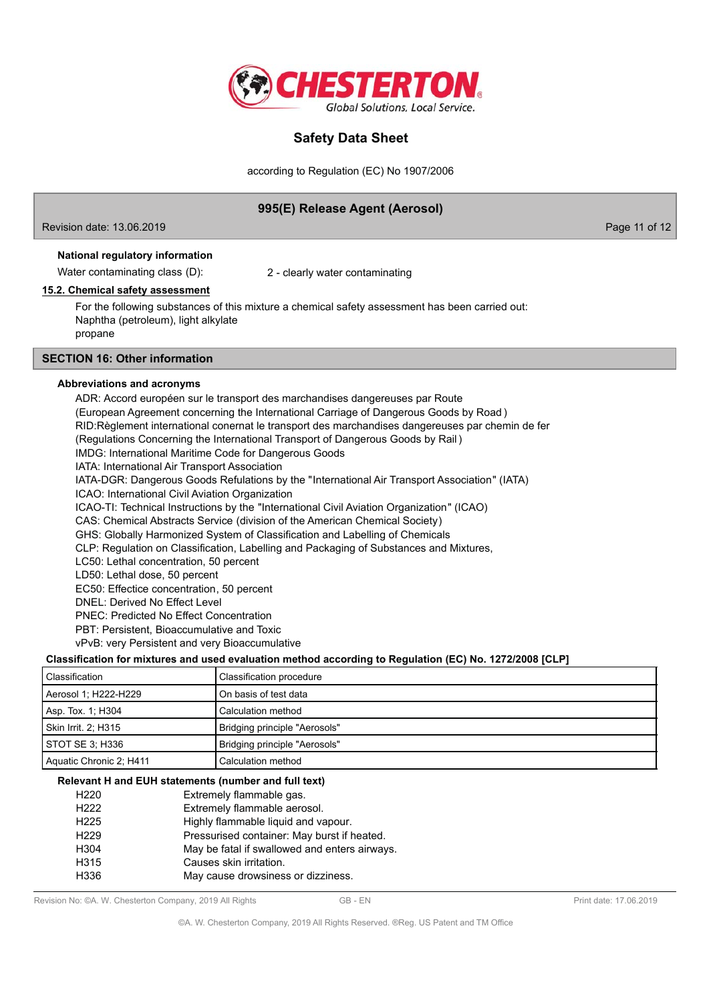

according to Regulation (EC) No 1907/2006

## 995(E) Release Agent (Aerosol)

Revision date: 13.06.2019

Page 11 of 12

#### National regulatory information

Water contaminating class (D):

2 - clearly water contaminating

#### 15.2. Chemical safety assessment

For the following substances of this mixture a chemical safety assessment has been carried out: Naphtha (petroleum), light alkylate propane

## **SECTION 16: Other information**

#### Abbreviations and acronyms

ADR: Accord européen sur le transport des marchandises dangereuses par Route (European Agreement concerning the International Carriage of Dangerous Goods by Road) RID: Règlement international conernat le transport des marchandises dangereuses par chemin de fer (Regulations Concerning the International Transport of Dangerous Goods by Rail) **IMDG: International Maritime Code for Dangerous Goods** IATA: International Air Transport Association IATA-DGR: Dangerous Goods Refulations by the "International Air Transport Association" (IATA) ICAO: International Civil Aviation Organization ICAO-TI: Technical Instructions by the "International Civil Aviation Organization" (ICAO) CAS: Chemical Abstracts Service (division of the American Chemical Society) GHS: Globally Harmonized System of Classification and Labelling of Chemicals CLP: Regulation on Classification, Labelling and Packaging of Substances and Mixtures, LC50: Lethal concentration, 50 percent LD50: Lethal dose, 50 percent EC50: Effectice concentration, 50 percent **DNEL: Derived No Effect Level PNEC: Predicted No Effect Concentration** PBT: Persistent. Bioaccumulative and Toxic vPvB: very Persistent and very Bioaccumulative Classification for mixtures and used evaluation method according to Regulation (EC) No. 1272/2008 [CLP]

| l Classification        | <b>Classification procedure</b> |
|-------------------------|---------------------------------|
| Aerosol 1; H222-H229    | l On basis of test data         |
| Asp. Tox. 1: H304       | Calculation method              |
| Skin Irrit. 2: H315     | Bridging principle "Aerosols"   |
| STOT SE 3: H336         | Bridging principle "Aerosols"   |
| Aquatic Chronic 2; H411 | Calculation method              |

## Relevant H and EUH statements (number and full text)

| H <sub>220</sub> | Extremely flammable gas.                      |
|------------------|-----------------------------------------------|
| H <sub>222</sub> | Extremely flammable aerosol.                  |
| H <sub>225</sub> | Highly flammable liquid and vapour.           |
| H <sub>229</sub> | Pressurised container: May burst if heated.   |
| H <sub>304</sub> | May be fatal if swallowed and enters airways. |
| H315             | Causes skin irritation.                       |
| H336             | May cause drowsiness or dizziness.            |